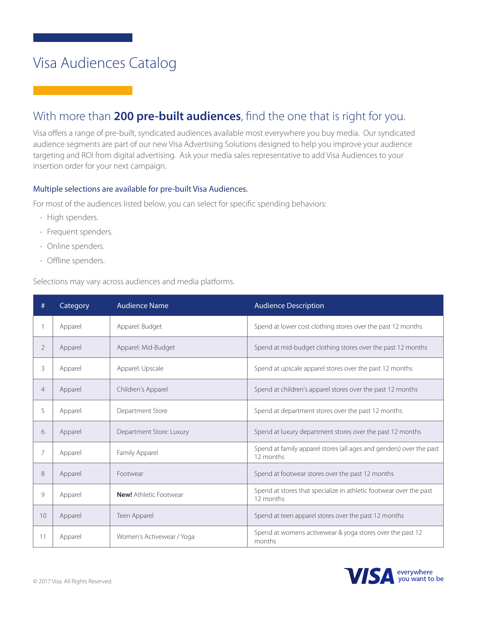#### With more than **200 pre-built audiences**, find the one that is right for you.

Visa offers a range of pre-built, syndicated audiences available most everywhere you buy media. Our syndicated audience segments are part of our new Visa Advertising Solutions designed to help you improve your audience targeting and ROI from digital advertising. Ask your media sales representative to add Visa Audiences to your insertion order for your next campaign.

#### Multiple selections are available for pre-built Visa Audiences.

For most of the audiences listed below, you can select for specific spending behaviors:

- High spenders.
- Frequent spenders.
- Online spenders.
- Offline spenders.

Selections may vary across audiences and media platforms.

| #              | Category | <b>Audience Name</b>          | <b>Audience Description</b>                                                      |
|----------------|----------|-------------------------------|----------------------------------------------------------------------------------|
|                | Apparel  | Apparel: Budget               | Spend at lower cost clothing stores over the past 12 months                      |
| $\overline{2}$ | Apparel  | Apparel: Mid-Budget           | Spend at mid-budget clothing stores over the past 12 months                      |
| 3              | Apparel  | Apparel: Upscale              | Spend at upscale apparel stores over the past 12 months                          |
| $\overline{4}$ | Apparel  | Children's Apparel            | Spend at children's apparel stores over the past 12 months                       |
| 5              | Apparel  | Department Store              | Spend at department stores over the past 12 months                               |
| 6              | Apparel  | Department Store: Luxury      | Spend at luxury department stores over the past 12 months                        |
| 7              | Apparel  | Family Apparel                | Spend at family apparel stores (all ages and genders) over the past<br>12 months |
| 8              | Apparel  | Footwear                      | Spend at footwear stores over the past 12 months                                 |
| 9              | Apparel  | <b>New!</b> Athletic Footwear | Spend at stores that specialize in athletic footwear over the past<br>12 months  |
| 10             | Apparel  | Teen Apparel                  | Spend at teen apparel stores over the past 12 months                             |
| 11             | Apparel  | Women's Activewear / Yoga     | Spend at womens activewear & yoga stores over the past 12<br>months              |

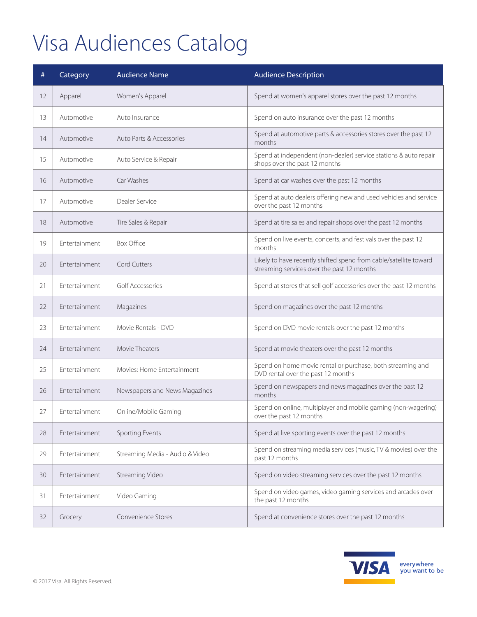| #  | Category             | <b>Audience Name</b>            | <b>Audience Description</b>                                                                                     |
|----|----------------------|---------------------------------|-----------------------------------------------------------------------------------------------------------------|
| 12 | Apparel              | Women's Apparel                 | Spend at women's apparel stores over the past 12 months                                                         |
| 13 | Automotive           | Auto Insurance                  | Spend on auto insurance over the past 12 months                                                                 |
| 14 | Automotive           | Auto Parts & Accessories        | Spend at automotive parts & accessories stores over the past 12<br>months                                       |
| 15 | Automotive           | Auto Service & Repair           | Spend at independent (non-dealer) service stations & auto repair<br>shops over the past 12 months               |
| 16 | Automotive           | Car Washes                      | Spend at car washes over the past 12 months                                                                     |
| 17 | Automotive           | Dealer Service                  | Spend at auto dealers offering new and used vehicles and service<br>over the past 12 months                     |
| 18 | Automotive           | Tire Sales & Repair             | Spend at tire sales and repair shops over the past 12 months                                                    |
| 19 | Entertainment        | <b>Box Office</b>               | Spend on live events, concerts, and festivals over the past 12<br>months                                        |
| 20 | Entertainment        | Cord Cutters                    | Likely to have recently shifted spend from cable/satellite toward<br>streaming services over the past 12 months |
| 21 | Entertainment        | Golf Accessories                | Spend at stores that sell golf accessories over the past 12 months                                              |
| 22 | Entertainment        | Magazines                       | Spend on magazines over the past 12 months                                                                      |
| 23 | Entertainment        | Movie Rentals - DVD             | Spend on DVD movie rentals over the past 12 months                                                              |
| 24 | Entertainment        | Movie Theaters                  | Spend at movie theaters over the past 12 months                                                                 |
| 25 | Entertainment        | Movies: Home Entertainment      | Spend on home movie rental or purchase, both streaming and<br>DVD rental over the past 12 months                |
| 26 | Entertainment        | Newspapers and News Magazines   | Spend on newspapers and news magazines over the past 12<br>months                                               |
| 27 | <b>Fntertainment</b> | Online/Mobile Gaming            | Spend on online, multiplayer and mobile gaming (non-wagering)<br>over the past 12 months                        |
| 28 | Entertainment        | Sporting Events                 | Spend at live sporting events over the past 12 months                                                           |
| 29 | Entertainment        | Streaming Media - Audio & Video | Spend on streaming media services (music, TV & movies) over the<br>past 12 months                               |
| 30 | Entertainment        | Streaming Video                 | Spend on video streaming services over the past 12 months                                                       |
| 31 | Entertainment        | Video Gaming                    | Spend on video games, video gaming services and arcades over<br>the past 12 months                              |
| 32 | Grocery              | Convenience Stores              | Spend at convenience stores over the past 12 months                                                             |

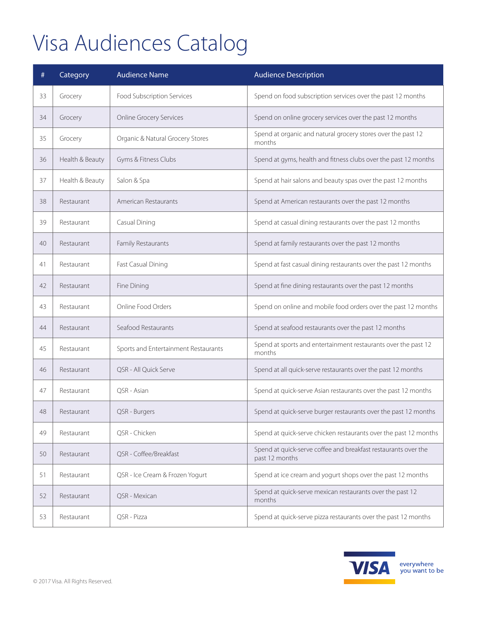| #  | Category        | <b>Audience Name</b>                 | <b>Audience Description</b>                                                      |
|----|-----------------|--------------------------------------|----------------------------------------------------------------------------------|
| 33 | Grocery         | Food Subscription Services           | Spend on food subscription services over the past 12 months                      |
| 34 | Grocery         | <b>Online Grocery Services</b>       | Spend on online grocery services over the past 12 months                         |
| 35 | Grocery         | Organic & Natural Grocery Stores     | Spend at organic and natural grocery stores over the past 12<br>months           |
| 36 | Health & Beauty | Gyms & Fitness Clubs                 | Spend at gyms, health and fitness clubs over the past 12 months                  |
| 37 | Health & Beauty | Salon & Spa                          | Spend at hair salons and beauty spas over the past 12 months                     |
| 38 | Restaurant      | American Restaurants                 | Spend at American restaurants over the past 12 months                            |
| 39 | Restaurant      | Casual Dining                        | Spend at casual dining restaurants over the past 12 months                       |
| 40 | Restaurant      | Family Restaurants                   | Spend at family restaurants over the past 12 months                              |
| 41 | Restaurant      | Fast Casual Dining                   | Spend at fast casual dining restaurants over the past 12 months                  |
| 42 | Restaurant      | Fine Dining                          | Spend at fine dining restaurants over the past 12 months                         |
| 43 | Restaurant      | Online Food Orders                   | Spend on online and mobile food orders over the past 12 months                   |
| 44 | Restaurant      | Seafood Restaurants                  | Spend at seafood restaurants over the past 12 months                             |
| 45 | Restaurant      | Sports and Entertainment Restaurants | Spend at sports and entertainment restaurants over the past 12<br>months         |
| 46 | Restaurant      | QSR - All Quick Serve                | Spend at all quick-serve restaurants over the past 12 months                     |
| 47 | Restaurant      | QSR - Asian                          | Spend at quick-serve Asian restaurants over the past 12 months                   |
| 48 | Restaurant      | QSR - Burgers                        | Spend at quick-serve burger restaurants over the past 12 months                  |
| 49 | Restaurant      | QSR - Chicken                        | Spend at quick-serve chicken restaurants over the past 12 months                 |
| 50 | Restaurant      | QSR - Coffee/Breakfast               | Spend at quick-serve coffee and breakfast restaurants over the<br>past 12 months |
| 51 | Restaurant      | QSR - Ice Cream & Frozen Yogurt      | Spend at ice cream and yogurt shops over the past 12 months                      |
| 52 | Restaurant      | QSR - Mexican                        | Spend at quick-serve mexican restaurants over the past 12<br>months              |
| 53 | Restaurant      | QSR - Pizza                          | Spend at quick-serve pizza restaurants over the past 12 months                   |

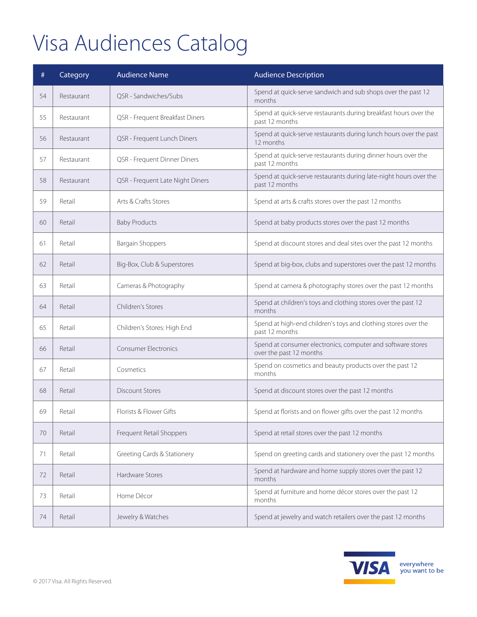| #  | Category   | <b>Audience Name</b>             | <b>Audience Description</b>                                                            |
|----|------------|----------------------------------|----------------------------------------------------------------------------------------|
| 54 | Restaurant | QSR - Sandwiches/Subs            | Spend at quick-serve sandwich and sub shops over the past 12<br>months                 |
| 55 | Restaurant | QSR - Frequent Breakfast Diners  | Spend at quick-serve restaurants during breakfast hours over the<br>past 12 months     |
| 56 | Restaurant | QSR - Frequent Lunch Diners      | Spend at quick-serve restaurants during lunch hours over the past<br>12 months         |
| 57 | Restaurant | QSR - Frequent Dinner Diners     | Spend at quick-serve restaurants during dinner hours over the<br>past 12 months        |
| 58 | Restaurant | QSR - Frequent Late Night Diners | Spend at quick-serve restaurants during late-night hours over the<br>past 12 months    |
| 59 | Retail     | Arts & Crafts Stores             | Spend at arts & crafts stores over the past 12 months                                  |
| 60 | Retail     | <b>Baby Products</b>             | Spend at baby products stores over the past 12 months                                  |
| 61 | Retail     | <b>Bargain Shoppers</b>          | Spend at discount stores and deal sites over the past 12 months                        |
| 62 | Retail     | Big-Box, Club & Superstores      | Spend at big-box, clubs and superstores over the past 12 months                        |
| 63 | Retail     | Cameras & Photography            | Spend at camera & photography stores over the past 12 months                           |
| 64 | Retail     | Children's Stores                | Spend at children's toys and clothing stores over the past 12<br>months                |
| 65 | Retail     | Children's Stores: High End      | Spend at high-end children's toys and clothing stores over the<br>past 12 months       |
| 66 | Retail     | <b>Consumer Electronics</b>      | Spend at consumer electronics, computer and software stores<br>over the past 12 months |
| 67 | Retail     | Cosmetics                        | Spend on cosmetics and beauty products over the past 12<br>months                      |
| 68 | Retail     | <b>Discount Stores</b>           | Spend at discount stores over the past 12 months                                       |
| 69 | Retail     | Florists & Flower Gifts          | Spend at florists and on flower gifts over the past 12 months                          |
| 70 | Retail     | Frequent Retail Shoppers         | Spend at retail stores over the past 12 months                                         |
| 71 | Retail     | Greeting Cards & Stationery      | Spend on greeting cards and stationery over the past 12 months                         |
| 72 | Retail     | Hardware Stores                  | Spend at hardware and home supply stores over the past 12<br>months                    |
| 73 | Retail     | Home Décor                       | Spend at furniture and home décor stores over the past 12<br>months                    |
| 74 | Retail     | Jewelry & Watches                | Spend at jewelry and watch retailers over the past 12 months                           |

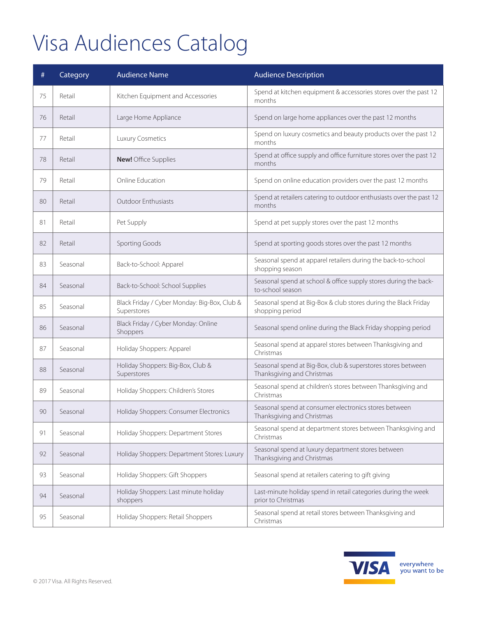| #  | Category | <b>Audience Name</b>                                        | <b>Audience Description</b>                                                                |
|----|----------|-------------------------------------------------------------|--------------------------------------------------------------------------------------------|
| 75 | Retail   | Kitchen Equipment and Accessories                           | Spend at kitchen equipment & accessories stores over the past 12<br>months                 |
| 76 | Retail   | Large Home Appliance                                        | Spend on large home appliances over the past 12 months                                     |
| 77 | Retail   | Luxury Cosmetics                                            | Spend on luxury cosmetics and beauty products over the past 12<br>months                   |
| 78 | Retail   | <b>New!</b> Office Supplies                                 | Spend at office supply and office furniture stores over the past 12<br>months              |
| 79 | Retail   | Online Education                                            | Spend on online education providers over the past 12 months                                |
| 80 | Retail   | Outdoor Enthusiasts                                         | Spend at retailers catering to outdoor enthusiasts over the past 12<br>months              |
| 81 | Retail   | Pet Supply                                                  | Spend at pet supply stores over the past 12 months                                         |
| 82 | Retail   | Sporting Goods                                              | Spend at sporting goods stores over the past 12 months                                     |
| 83 | Seasonal | Back-to-School: Apparel                                     | Seasonal spend at apparel retailers during the back-to-school<br>shopping season           |
| 84 | Seasonal | Back-to-School: School Supplies                             | Seasonal spend at school & office supply stores during the back-<br>to-school season       |
| 85 | Seasonal | Black Friday / Cyber Monday: Big-Box, Club &<br>Superstores | Seasonal spend at Big-Box & club stores during the Black Friday<br>shopping period         |
| 86 | Seasonal | Black Friday / Cyber Monday: Online<br>Shoppers             | Seasonal spend online during the Black Friday shopping period                              |
| 87 | Seasonal | Holiday Shoppers: Apparel                                   | Seasonal spend at apparel stores between Thanksgiving and<br>Christmas                     |
| 88 | Seasonal | Holiday Shoppers: Big-Box, Club &<br>Superstores            | Seasonal spend at Big-Box, club & superstores stores between<br>Thanksgiving and Christmas |
| 89 | Seasonal | Holiday Shoppers: Children's Stores                         | Seasonal spend at children's stores between Thanksgiving and<br>Christmas                  |
| 90 | Seasonal | Holiday Shoppers: Consumer Electronics                      | Seasonal spend at consumer electronics stores between<br>Thanksgiving and Christmas        |
| 91 | Seasonal | Holiday Shoppers: Department Stores                         | Seasonal spend at department stores between Thanksgiving and<br>Christmas                  |
| 92 | Seasonal | Holiday Shoppers: Department Stores: Luxury                 | Seasonal spend at luxury department stores between<br>Thanksgiving and Christmas           |
| 93 | Seasonal | Holiday Shoppers: Gift Shoppers                             | Seasonal spend at retailers catering to gift giving                                        |
| 94 | Seasonal | Holiday Shoppers: Last minute holiday<br>shoppers           | Last-minute holiday spend in retail categories during the week<br>prior to Christmas       |
| 95 | Seasonal | Holiday Shoppers: Retail Shoppers                           | Seasonal spend at retail stores between Thanksgiving and<br>Christmas                      |

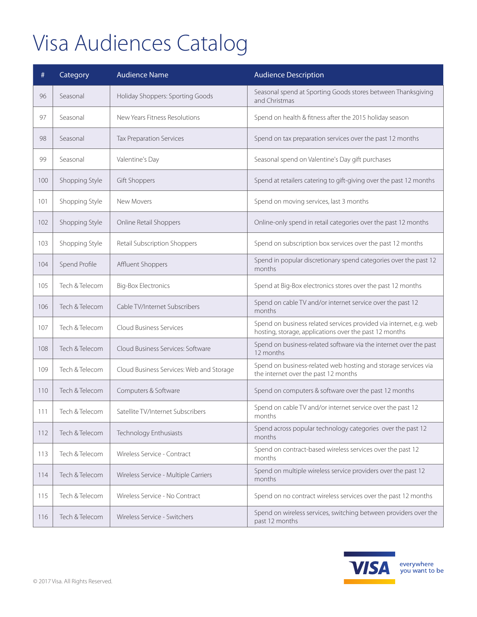| #   | Category       | <b>Audience Name</b>                     | <b>Audience Description</b>                                                                                                  |
|-----|----------------|------------------------------------------|------------------------------------------------------------------------------------------------------------------------------|
| 96  | Seasonal       | Holiday Shoppers: Sporting Goods         | Seasonal spend at Sporting Goods stores between Thanksgiving<br>and Christmas                                                |
| 97  | Seasonal       | New Years Fitness Resolutions            | Spend on health & fitness after the 2015 holiday season                                                                      |
| 98  | Seasonal       | <b>Tax Preparation Services</b>          | Spend on tax preparation services over the past 12 months                                                                    |
| 99  | Seasonal       | Valentine's Day                          | Seasonal spend on Valentine's Day gift purchases                                                                             |
| 100 | Shopping Style | Gift Shoppers                            | Spend at retailers catering to gift-giving over the past 12 months                                                           |
| 101 | Shopping Style | New Movers                               | Spend on moving services, last 3 months                                                                                      |
| 102 | Shopping Style | Online Retail Shoppers                   | Online-only spend in retail categories over the past 12 months                                                               |
| 103 | Shopping Style | Retail Subscription Shoppers             | Spend on subscription box services over the past 12 months                                                                   |
| 104 | Spend Profile  | Affluent Shoppers                        | Spend in popular discretionary spend categories over the past 12<br>months                                                   |
| 105 | Tech & Telecom | <b>Big-Box Electronics</b>               | Spend at Big-Box electronics stores over the past 12 months                                                                  |
| 106 | Tech & Telecom | Cable TV/Internet Subscribers            | Spend on cable TV and/or internet service over the past 12<br>months                                                         |
| 107 | Tech & Telecom | Cloud Business Services                  | Spend on business related services provided via internet, e.g. web<br>hosting, storage, applications over the past 12 months |
| 108 | Tech & Telecom | Cloud Business Services: Software        | Spend on business-related software via the internet over the past<br>12 months                                               |
| 109 | Tech & Telecom | Cloud Business Services: Web and Storage | Spend on business-related web hosting and storage services via<br>the internet over the past 12 months                       |
| 110 | Tech & Telecom | Computers & Software                     | Spend on computers & software over the past 12 months                                                                        |
| 111 | Tech & Telecom | Satellite TV/Internet Subscribers        | Spend on cable TV and/or internet service over the past 12<br>months                                                         |
| 112 | Tech & Telecom | Technology Enthusiasts                   | Spend across popular technology categories over the past 12<br>months                                                        |
| 113 | Tech & Telecom | Wireless Service - Contract              | Spend on contract-based wireless services over the past 12<br>months                                                         |
| 114 | Tech & Telecom | Wireless Service - Multiple Carriers     | Spend on multiple wireless service providers over the past 12<br>months                                                      |
| 115 | Tech & Telecom | Wireless Service - No Contract           | Spend on no contract wireless services over the past 12 months                                                               |
| 116 | Tech & Telecom | Wireless Service - Switchers             | Spend on wireless services, switching between providers over the<br>past 12 months                                           |

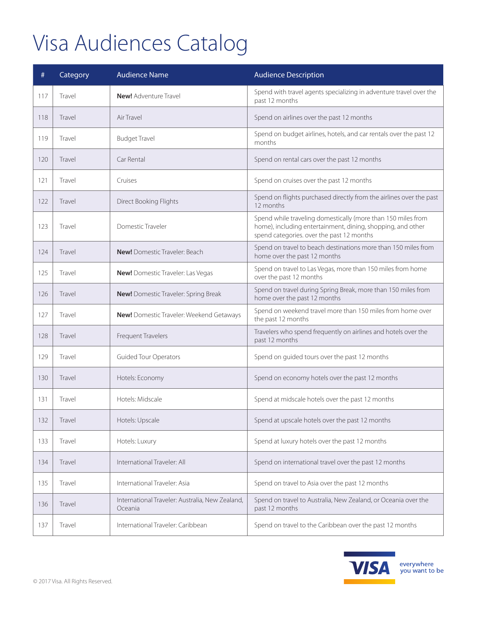| #   | Category | <b>Audience Name</b>                                       | <b>Audience Description</b>                                                                                                                                              |
|-----|----------|------------------------------------------------------------|--------------------------------------------------------------------------------------------------------------------------------------------------------------------------|
| 117 | Travel   | <b>New!</b> Adventure Travel                               | Spend with travel agents specializing in adventure travel over the<br>past 12 months                                                                                     |
| 118 | Travel   | Air Travel                                                 | Spend on airlines over the past 12 months                                                                                                                                |
| 119 | Travel   | <b>Budget Travel</b>                                       | Spend on budget airlines, hotels, and car rentals over the past 12<br>months                                                                                             |
| 120 | Travel   | Car Rental                                                 | Spend on rental cars over the past 12 months                                                                                                                             |
| 121 | Travel   | Cruises                                                    | Spend on cruises over the past 12 months                                                                                                                                 |
| 122 | Travel   | Direct Booking Flights                                     | Spend on flights purchased directly from the airlines over the past<br>12 months                                                                                         |
| 123 | Travel   | Domestic Traveler                                          | Spend while traveling domestically (more than 150 miles from<br>home), including entertainment, dining, shopping, and other<br>spend categories. over the past 12 months |
| 124 | Travel   | <b>New!</b> Domestic Traveler: Beach                       | Spend on travel to beach destinations more than 150 miles from<br>home over the past 12 months                                                                           |
| 125 | Travel   | New! Domestic Traveler: Las Vegas                          | Spend on travel to Las Vegas, more than 150 miles from home<br>over the past 12 months                                                                                   |
| 126 | Travel   | <b>New!</b> Domestic Traveler: Spring Break                | Spend on travel during Spring Break, more than 150 miles from<br>home over the past 12 months                                                                            |
| 127 | Travel   | New! Domestic Traveler: Weekend Getaways                   | Spend on weekend travel more than 150 miles from home over<br>the past 12 months                                                                                         |
| 128 | Travel   | Frequent Travelers                                         | Travelers who spend frequently on airlines and hotels over the<br>past 12 months                                                                                         |
| 129 | Travel   | Guided Tour Operators                                      | Spend on guided tours over the past 12 months                                                                                                                            |
| 130 | Travel   | Hotels: Economy                                            | Spend on economy hotels over the past 12 months                                                                                                                          |
| 131 | Travel   | Hotels: Midscale                                           | Spend at midscale hotels over the past 12 months                                                                                                                         |
| 132 | Travel   | Hotels: Upscale                                            | Spend at upscale hotels over the past 12 months                                                                                                                          |
| 133 | Travel   | Hotels: Luxury                                             | Spend at luxury hotels over the past 12 months                                                                                                                           |
| 134 | Travel   | International Traveler: All                                | Spend on international travel over the past 12 months                                                                                                                    |
| 135 | Travel   | International Traveler: Asia                               | Spend on travel to Asia over the past 12 months                                                                                                                          |
| 136 | Travel   | International Traveler: Australia, New Zealand,<br>Oceania | Spend on travel to Australia, New Zealand, or Oceania over the<br>past 12 months                                                                                         |
| 137 | Travel   | International Traveler: Caribbean                          | Spend on travel to the Caribbean over the past 12 months                                                                                                                 |